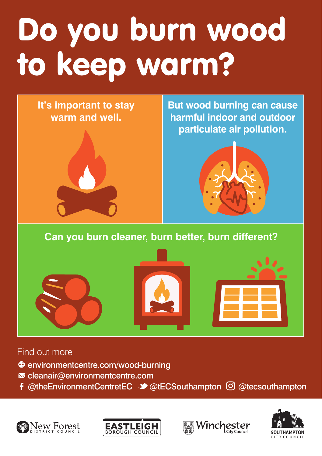## Do you burn wood to keep warm?



**But wood burning can cause harmful indoor and outdoor particulate air pollution.**



## **Can you burn cleaner, burn better, burn different?**







## Find out more

- environmentcentre.com/wood-burning
- $\blacksquare$  cleanair@environmentcentre.com
- f @theEnvironmentCentretEC  $\blacktriangleright$  @tECSouthampton  $\lbrack \odot \rbrack$  @tecsouthampton